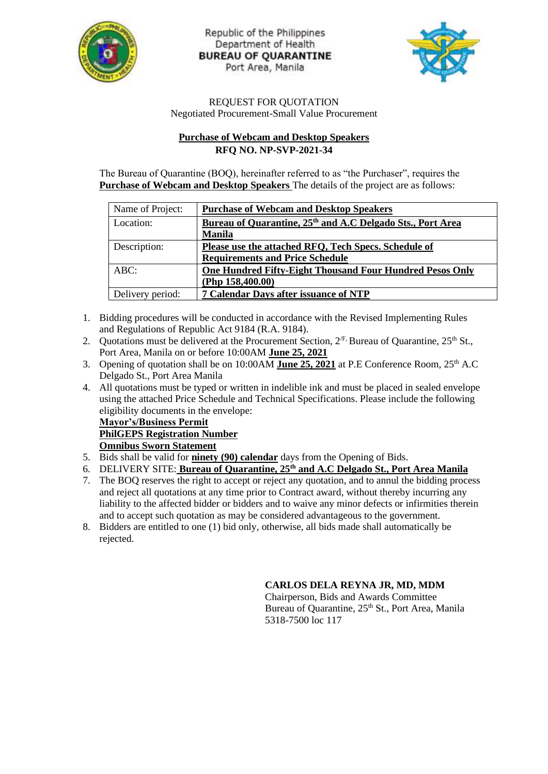

Republic of the Philippines Department of Health **BUREAU OF QUARANTINE** Port Area, Manila



#### REQUEST FOR QUOTATION Negotiated Procurement-Small Value Procurement

## **Purchase of Webcam and Desktop Speakers RFQ NO. NP-SVP-2021-34**

The Bureau of Quarantine (BOQ), hereinafter referred to as "the Purchaser", requires the **Purchase of Webcam and Desktop Speakers** The details of the project are as follows:

| Name of Project: | <b>Purchase of Webcam and Desktop Speakers</b>                         |
|------------------|------------------------------------------------------------------------|
| Location:        | Bureau of Quarantine, 25 <sup>th</sup> and A.C Delgado Sts., Port Area |
|                  | <b>Manila</b>                                                          |
| Description:     | Please use the attached RFQ, Tech Specs. Schedule of                   |
|                  | <b>Requirements and Price Schedule</b>                                 |
| $ABC$ :          | One Hundred Fifty-Eight Thousand Four Hundred Pesos Only               |
|                  | (Php $158,400.00$ )                                                    |
| Delivery period: | 7 Calendar Days after issuance of NTP                                  |

- 1. Bidding procedures will be conducted in accordance with the Revised Implementing Rules and Regulations of Republic Act 9184 (R.A. 9184).
- 2. Quotations must be delivered at the Procurement Section,  $2^{fF}$ , Bureau of Quarantine,  $25^{th}$  St., Port Area, Manila on or before 10:00AM **June 25, 2021**
- 3. Opening of quotation shall be on 10:00AM June 25, 2021 at P.E Conference Room, 25<sup>th</sup> A.C Delgado St., Port Area Manila
- 4. All quotations must be typed or written in indelible ink and must be placed in sealed envelope using the attached Price Schedule and Technical Specifications. Please include the following eligibility documents in the envelope:

#### **Mayor's/Business Permit PhilGEPS Registration Number Omnibus Sworn Statement**

- 5. Bids shall be valid for **ninety (90) calendar** days from the Opening of Bids.
- 6. DELIVERY SITE: **Bureau of Quarantine, 25th and A.C Delgado St., Port Area Manila**
- 7. The BOQ reserves the right to accept or reject any quotation, and to annul the bidding process and reject all quotations at any time prior to Contract award, without thereby incurring any liability to the affected bidder or bidders and to waive any minor defects or infirmities therein and to accept such quotation as may be considered advantageous to the government.
- 8. Bidders are entitled to one (1) bid only, otherwise, all bids made shall automatically be rejected.

### **CARLOS DELA REYNA JR, MD, MDM**

Chairperson, Bids and Awards Committee Bureau of Quarantine, 25<sup>th</sup> St., Port Area, Manila 5318-7500 loc 117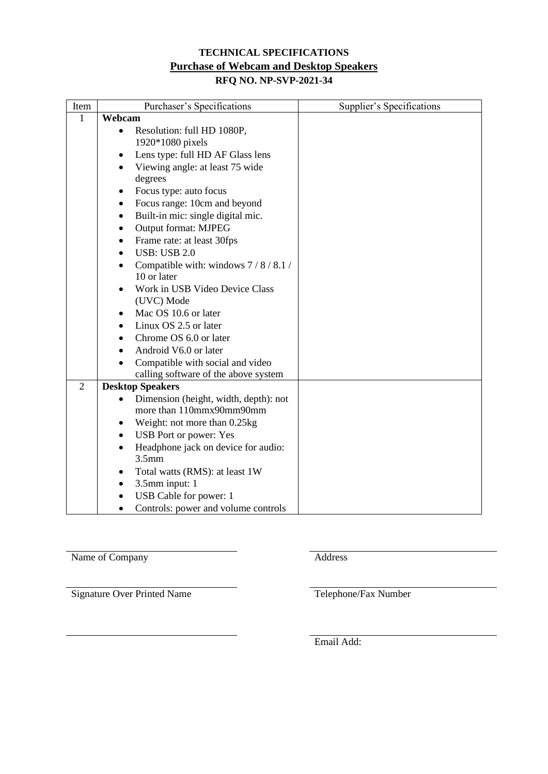# **TECHNICAL SPECIFICATIONS Purchase of Webcam and Desktop Speakers**

# **RFQ NO. NP-SVP-2021-34**

| Item           | Purchaser's Specifications                         | Supplier's Specifications |
|----------------|----------------------------------------------------|---------------------------|
| $\mathbf{1}$   | Webcam                                             |                           |
|                | Resolution: full HD 1080P,<br>$\bullet$            |                           |
|                | 1920*1080 pixels                                   |                           |
|                | Lens type: full HD AF Glass lens<br>٠              |                           |
|                | Viewing angle: at least 75 wide<br>$\bullet$       |                           |
|                | degrees                                            |                           |
|                | Focus type: auto focus                             |                           |
|                | Focus range: 10cm and beyond<br>٠                  |                           |
|                | Built-in mic: single digital mic.<br>٠             |                           |
|                | Output format: MJPEG<br>$\bullet$                  |                           |
|                | Frame rate: at least 30fps<br>$\bullet$            |                           |
|                | <b>USB: USB 2.0</b><br>$\bullet$                   |                           |
|                | Compatible with: windows 7/8/8.1/                  |                           |
|                | 10 or later                                        |                           |
|                | Work in USB Video Device Class                     |                           |
|                | (UVC) Mode                                         |                           |
|                | Mac OS 10.6 or later<br>٠                          |                           |
|                | Linux OS 2.5 or later                              |                           |
|                | Chrome OS 6.0 or later                             |                           |
|                | Android V6.0 or later                              |                           |
|                | Compatible with social and video                   |                           |
|                | calling software of the above system               |                           |
| $\overline{2}$ | <b>Desktop Speakers</b>                            |                           |
|                | Dimension (height, width, depth): not<br>$\bullet$ |                           |
|                | more than 110mmx90mm90mm                           |                           |
|                | Weight: not more than 0.25kg<br>٠                  |                           |
|                | USB Port or power: Yes<br>$\bullet$                |                           |
|                | Headphone jack on device for audio:<br>$\bullet$   |                           |
|                | 3.5 <sub>mm</sub>                                  |                           |
|                | Total watts (RMS): at least 1W                     |                           |
|                | 3.5mm input: 1<br>٠                                |                           |
|                | USB Cable for power: 1<br>$\bullet$                |                           |
|                | Controls: power and volume controls                |                           |

Name of Company Address

Signature Over Printed Name Telephone/Fax Number

Email Add: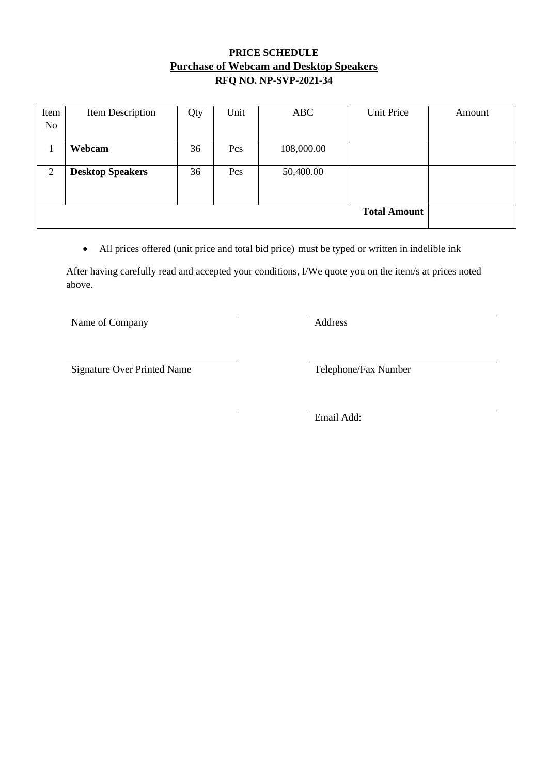# **PRICE SCHEDULE Purchase of Webcam and Desktop Speakers RFQ NO. NP-SVP-2021-34**

| Item | Item Description        | Qty | Unit | <b>ABC</b> | Unit Price | Amount |  |
|------|-------------------------|-----|------|------------|------------|--------|--|
| No   |                         |     |      |            |            |        |  |
|      | Webcam                  | 36  | Pcs  | 108,000.00 |            |        |  |
|      |                         |     |      |            |            |        |  |
| 2    | <b>Desktop Speakers</b> | 36  | Pcs  | 50,400.00  |            |        |  |
|      |                         |     |      |            |            |        |  |
|      |                         |     |      |            |            |        |  |
|      | <b>Total Amount</b>     |     |      |            |            |        |  |
|      |                         |     |      |            |            |        |  |

• All prices offered (unit price and total bid price) must be typed or written in indelible ink

After having carefully read and accepted your conditions, I/We quote you on the item/s at prices noted above.

Name of Company Address

Signature Over Printed Name Telephone/Fax Number

Email Add: